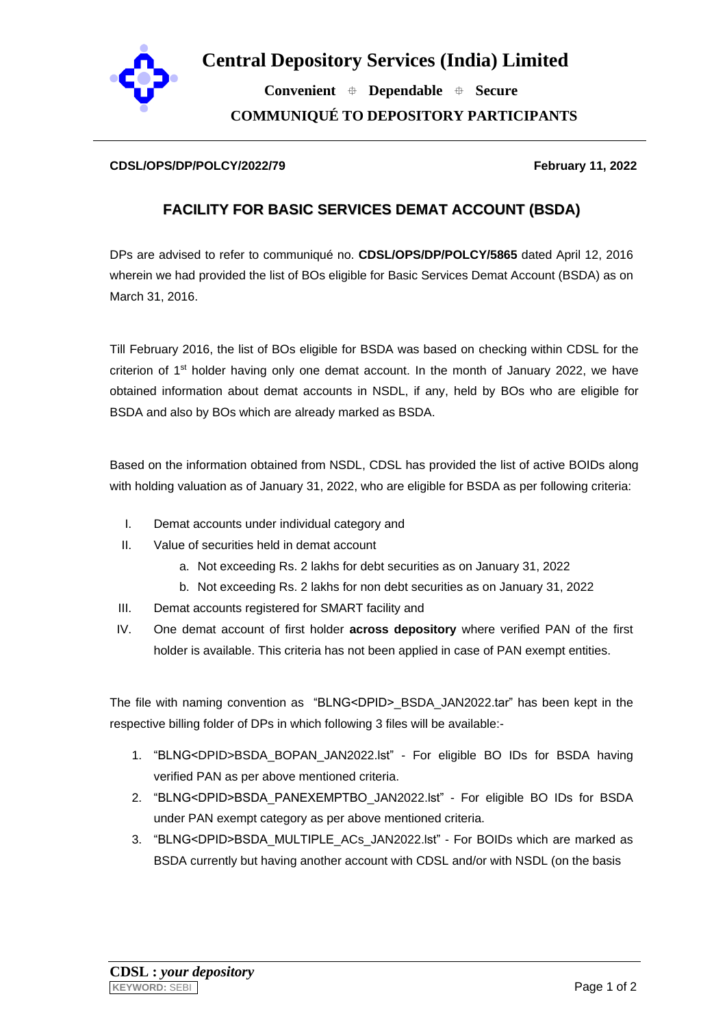

 **Convenient Dependable Secure COMMUNIQUÉ TO DEPOSITORY PARTICIPANTS**

## **CDSL/OPS/DP/POLCY/2022/79 February 11, 2022**

## **FACILITY FOR BASIC SERVICES DEMAT ACCOUNT (BSDA)**

DPs are advised to refer to communiqué no. **CDSL/OPS/DP/POLCY/5865** dated April 12, 2016 wherein we had provided the list of BOs eligible for Basic Services Demat Account (BSDA) as on March 31, 2016.

Till February 2016, the list of BOs eligible for BSDA was based on checking within CDSL for the criterion of  $1<sup>st</sup>$  holder having only one demat account. In the month of January 2022, we have obtained information about demat accounts in NSDL, if any, held by BOs who are eligible for BSDA and also by BOs which are already marked as BSDA.

Based on the information obtained from NSDL, CDSL has provided the list of active BOIDs along with holding valuation as of January 31, 2022, who are eligible for BSDA as per following criteria:

- I. Demat accounts under individual category and
- II. Value of securities held in demat account
	- a. Not exceeding Rs. 2 lakhs for debt securities as on January 31, 2022
	- b. Not exceeding Rs. 2 lakhs for non debt securities as on January 31, 2022
- III. Demat accounts registered for SMART facility and
- IV. One demat account of first holder **across depository** where verified PAN of the first holder is available. This criteria has not been applied in case of PAN exempt entities.

The file with naming convention as "BLNG<DPID> BSDA JAN2022.tar" has been kept in the respective billing folder of DPs in which following 3 files will be available:-

- 1. "BLNG<DPID>BSDA\_BOPAN\_JAN2022.lst" For eligible BO IDs for BSDA having verified PAN as per above mentioned criteria.
- 2. "BLNG<DPID>BSDA\_PANEXEMPTBO\_JAN2022.lst" For eligible BO IDs for BSDA under PAN exempt category as per above mentioned criteria.
- 3. "BLNG<DPID>BSDA\_MULTIPLE\_ACs\_JAN2022.lst" For BOIDs which are marked as BSDA currently but having another account with CDSL and/or with NSDL (on the basis